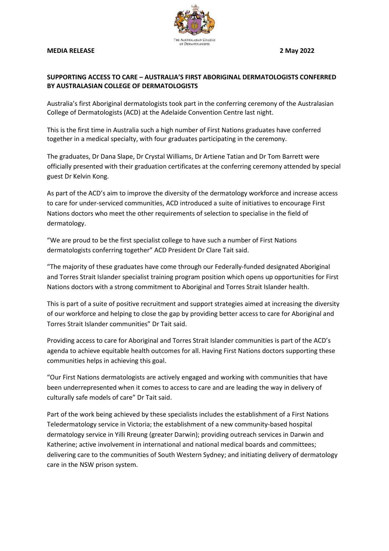## **MEDIA RELEASE 2 May 2022**



## **SUPPORTING ACCESS TO CARE – AUSTRALIA'S FIRST ABORIGINAL DERMATOLOGISTS CONFERRED BY AUSTRALASIAN COLLEGE OF DERMATOLOGISTS**

Australia's first Aboriginal dermatologists took part in the conferring ceremony of the Australasian College of Dermatologists (ACD) at the Adelaide Convention Centre last night.

This is the first time in Australia such a high number of First Nations graduates have conferred together in a medical specialty, with four graduates participating in the ceremony.

The graduates, Dr Dana Slape, Dr Crystal Williams, Dr Artiene Tatian and Dr Tom Barrett were officially presented with their graduation certificates at the conferring ceremony attended by special guest Dr Kelvin Kong.

As part of the ACD's aim to improve the diversity of the dermatology workforce and increase access to care for under-serviced communities, ACD introduced a suite of initiatives to encourage First Nations doctors who meet the other requirements of selection to specialise in the field of dermatology.

"We are proud to be the first specialist college to have such a number of First Nations dermatologists conferring together" ACD President Dr Clare Tait said.

"The majority of these graduates have come through our Federally-funded designated Aboriginal and Torres Strait Islander specialist training program position which opens up opportunities for First Nations doctors with a strong commitment to Aboriginal and Torres Strait Islander health.

This is part of a suite of positive recruitment and support strategies aimed at increasing the diversity of our workforce and helping to close the gap by providing better access to care for Aboriginal and Torres Strait Islander communities" Dr Tait said.

Providing access to care for Aboriginal and Torres Strait Islander communities is part of the ACD's agenda to achieve equitable health outcomes for all. Having First Nations doctors supporting these communities helps in achieving this goal.

"Our First Nations dermatologists are actively engaged and working with communities that have been underrepresented when it comes to access to care and are leading the way in delivery of culturally safe models of care" Dr Tait said.

Part of the work being achieved by these specialists includes the establishment of a First Nations Teledermatology service in Victoria; the establishment of a new community-based hospital dermatology service in Yilli Rreung (greater Darwin); providing outreach services in Darwin and Katherine; active involvement in international and national medical boards and committees; delivering care to the communities of South Western Sydney; and initiating delivery of dermatology care in the NSW prison system.